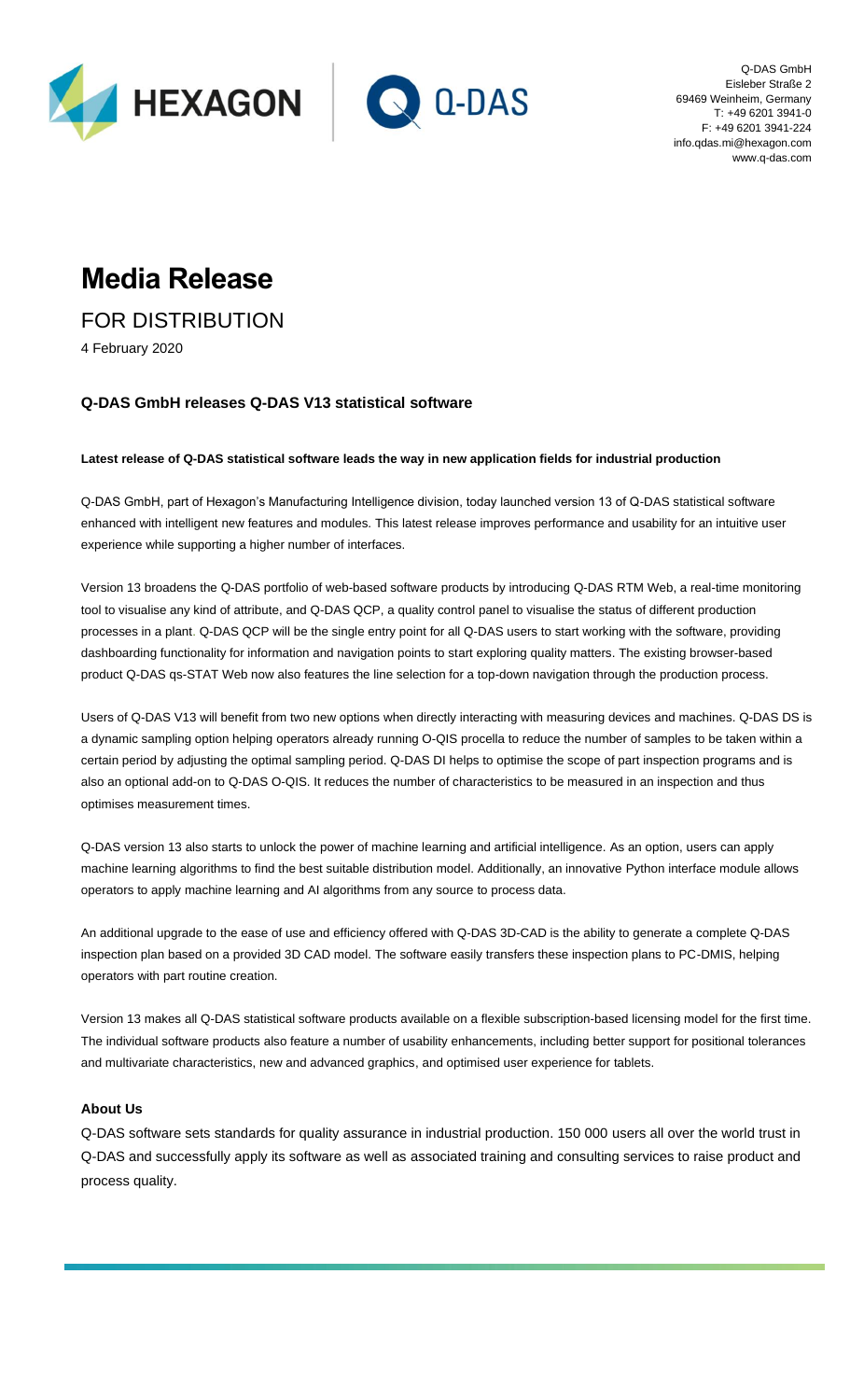



Q-DAS GmbH Eisleber Straße 2 69469 Weinheim, Germany T: +49 6201 3941-0 F: +49 6201 3941-224 info.qdas.mi@hexagon.com www.q-das.com

## **Media Release**

FOR DISTRIBUTION

4 February 2020

## **Q-DAS GmbH releases Q-DAS V13 statistical software**

**Latest release of Q-DAS statistical software leads the way in new application fields for industrial production**

Q-DAS GmbH, part of Hexagon's Manufacturing Intelligence division, today launched version 13 of Q-DAS statistical software enhanced with intelligent new features and modules. This latest release improves performance and usability for an intuitive user experience while supporting a higher number of interfaces.

Version 13 broadens the Q-DAS portfolio of web-based software products by introducing Q-DAS RTM Web, a real-time monitoring tool to visualise any kind of attribute, and Q-DAS QCP, a quality control panel to visualise the status of different production processes in a plant. Q-DAS QCP will be the single entry point for all Q-DAS users to start working with the software, providing dashboarding functionality for information and navigation points to start exploring quality matters. The existing browser-based product Q-DAS qs-STAT Web now also features the line selection for a top-down navigation through the production process.

Users of Q-DAS V13 will benefit from two new options when directly interacting with measuring devices and machines. Q-DAS DS is a dynamic sampling option helping operators already running O-QIS procella to reduce the number of samples to be taken within a certain period by adjusting the optimal sampling period. Q-DAS DI helps to optimise the scope of part inspection programs and is also an optional add-on to Q-DAS O-QIS. It reduces the number of characteristics to be measured in an inspection and thus optimises measurement times.

Q-DAS version 13 also starts to unlock the power of machine learning and artificial intelligence. As an option, users can apply machine learning algorithms to find the best suitable distribution model. Additionally, an innovative Python interface module allows operators to apply machine learning and AI algorithms from any source to process data.

An additional upgrade to the ease of use and efficiency offered with Q-DAS 3D-CAD is the ability to generate a complete Q-DAS inspection plan based on a provided 3D CAD model. The software easily transfers these inspection plans to PC-DMIS, helping operators with part routine creation.

Version 13 makes all Q-DAS statistical software products available on a flexible subscription-based licensing model for the first time. The individual software products also feature a number of usability enhancements, including better support for positional tolerances and multivariate characteristics, new and advanced graphics, and optimised user experience for tablets.

## **About Us**

Q-DAS software sets standards for quality assurance in industrial production. 150 000 users all over the world trust in Q-DAS and successfully apply its software as well as associated training and consulting services to raise product and process quality.